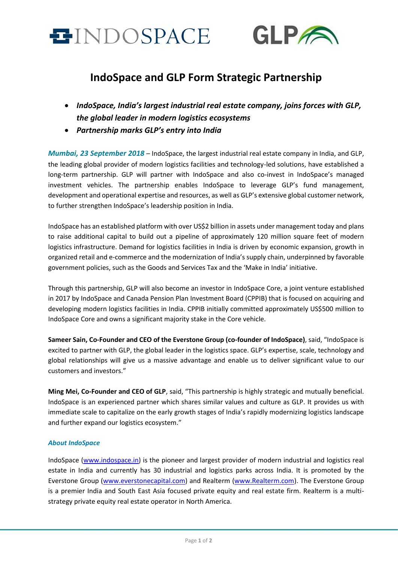



# **IndoSpace and GLP Form Strategic Partnership**

- *IndoSpace, India's largest industrial real estate company, joins forces with GLP, the global leader in modern logistics ecosystems*
- *Partnership marks GLP's entry into India*

*Mumbai, 23 September 2018* – IndoSpace, the largest industrial real estate company in India, and GLP, the leading global provider of modern logistics facilities and technology-led solutions, have established a long-term partnership. GLP will partner with IndoSpace and also co-invest in IndoSpace's managed investment vehicles. The partnership enables IndoSpace to leverage GLP's fund management, development and operational expertise and resources, as well as GLP's extensive global customer network, to further strengthen IndoSpace's leadership position in India.

IndoSpace has an established platform with over US\$2 billion in assets under management today and plans to raise additional capital to build out a pipeline of approximately 120 million square feet of modern logistics infrastructure. Demand for logistics facilities in India is driven by economic expansion, growth in organized retail and e-commerce and the modernization of India's supply chain, underpinned by favorable government policies, such as the Goods and Services Tax and the 'Make in India' initiative.

Through this partnership, GLP will also become an investor in IndoSpace Core, a joint venture established in 2017 by IndoSpace and Canada Pension Plan Investment Board (CPPIB) that is focused on acquiring and developing modern logistics facilities in India. CPPIB initially committed approximately US\$500 million to IndoSpace Core and owns a significant majority stake in the Core vehicle.

**Sameer Sain, Co-Founder and CEO of the Everstone Group (co-founder of IndoSpace)**, said, "IndoSpace is excited to partner with GLP, the global leader in the logistics space. GLP's expertise, scale, technology and global relationships will give us a massive advantage and enable us to deliver significant value to our customers and investors."

**Ming Mei, Co-Founder and CEO of GLP**, said, "This partnership is highly strategic and mutually beneficial. IndoSpace is an experienced partner which shares similar values and culture as GLP. It provides us with immediate scale to capitalize on the early growth stages of India's rapidly modernizing logistics landscape and further expand our logistics ecosystem."

# *About IndoSpace*

IndoSpace [\(www.indospace.in\)](http://www.indospace.in/) is the pioneer and largest provider of modern industrial and logistics real estate in India and currently has 30 industrial and logistics parks across India. It is promoted by the Everstone Group [\(www.everstonecapital.com\)](http://www.everstonecapital.com/) and Realterm [\(www.Realterm.com\)](http://www.realterm.com/). The Everstone Group is a premier India and South East Asia focused private equity and real estate firm. Realterm is a multistrategy private equity real estate operator in North America.